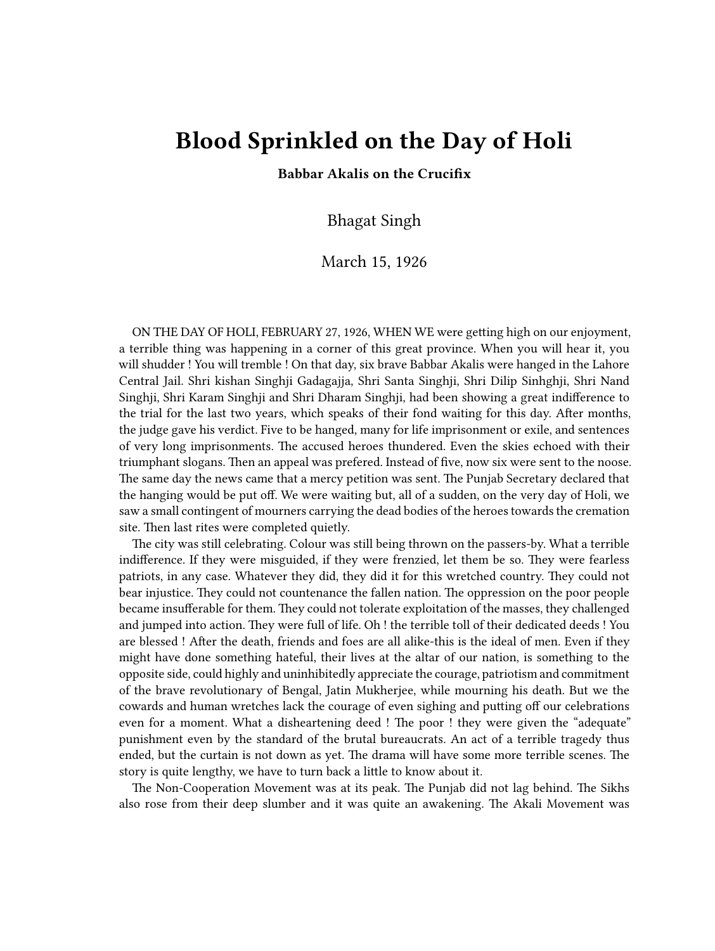## **Blood Sprinkled on the Day of Holi**

**Babbar Akalis on the Crucifix**

Bhagat Singh

## March 15, 1926

ON THE DAY OF HOLI, FEBRUARY 27, 1926, WHEN WE were getting high on our enjoyment, a terrible thing was happening in a corner of this great province. When you will hear it, you will shudder ! You will tremble ! On that day, six brave Babbar Akalis were hanged in the Lahore Central Jail. Shri kishan Singhji Gadagajja, Shri Santa Singhji, Shri Dilip Sinhghji, Shri Nand Singhji, Shri Karam Singhji and Shri Dharam Singhji, had been showing a great indifference to the trial for the last two years, which speaks of their fond waiting for this day. After months, the judge gave his verdict. Five to be hanged, many for life imprisonment or exile, and sentences of very long imprisonments. The accused heroes thundered. Even the skies echoed with their triumphant slogans. Then an appeal was prefered. Instead of five, now six were sent to the noose. The same day the news came that a mercy petition was sent. The Punjab Secretary declared that the hanging would be put off. We were waiting but, all of a sudden, on the very day of Holi, we saw a small contingent of mourners carrying the dead bodies of the heroes towards the cremation site. Then last rites were completed quietly.

The city was still celebrating. Colour was still being thrown on the passers-by. What a terrible indifference. If they were misguided, if they were frenzied, let them be so. They were fearless patriots, in any case. Whatever they did, they did it for this wretched country. They could not bear injustice. They could not countenance the fallen nation. The oppression on the poor people became insufferable for them. They could not tolerate exploitation of the masses, they challenged and jumped into action. They were full of life. Oh ! the terrible toll of their dedicated deeds ! You are blessed ! After the death, friends and foes are all alike-this is the ideal of men. Even if they might have done something hateful, their lives at the altar of our nation, is something to the opposite side, could highly and uninhibitedly appreciate the courage, patriotism and commitment of the brave revolutionary of Bengal, Jatin Mukherjee, while mourning his death. But we the cowards and human wretches lack the courage of even sighing and putting off our celebrations even for a moment. What a disheartening deed ! The poor ! they were given the "adequate" punishment even by the standard of the brutal bureaucrats. An act of a terrible tragedy thus ended, but the curtain is not down as yet. The drama will have some more terrible scenes. The story is quite lengthy, we have to turn back a little to know about it.

The Non-Cooperation Movement was at its peak. The Punjab did not lag behind. The Sikhs also rose from their deep slumber and it was quite an awakening. The Akali Movement was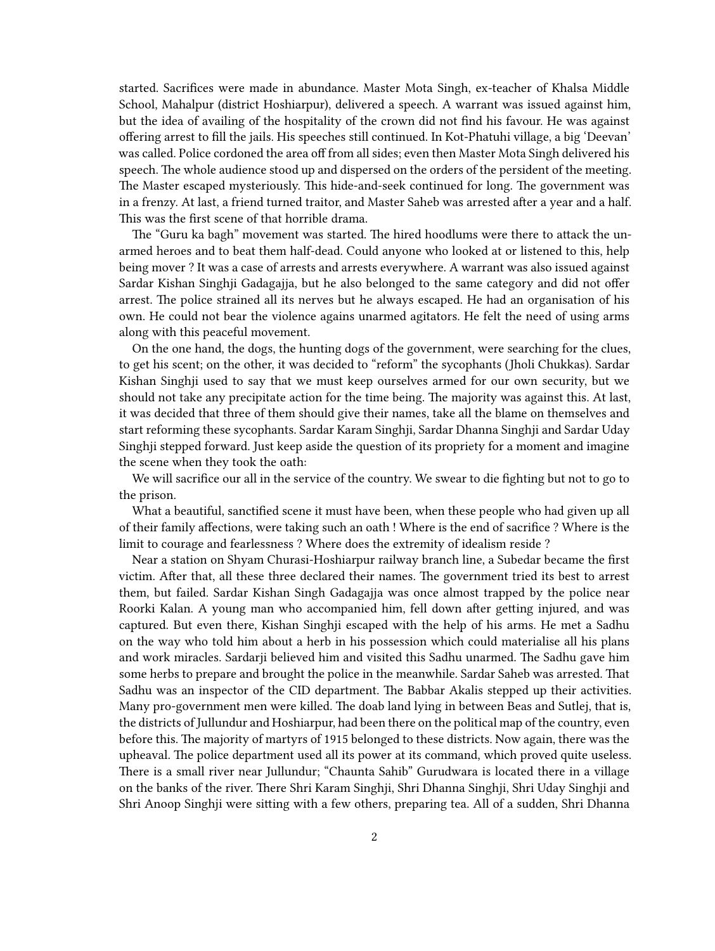started. Sacrifices were made in abundance. Master Mota Singh, ex-teacher of Khalsa Middle School, Mahalpur (district Hoshiarpur), delivered a speech. A warrant was issued against him, but the idea of availing of the hospitality of the crown did not find his favour. He was against offering arrest to fill the jails. His speeches still continued. In Kot-Phatuhi village, a big 'Deevan' was called. Police cordoned the area off from all sides; even then Master Mota Singh delivered his speech. The whole audience stood up and dispersed on the orders of the persident of the meeting. The Master escaped mysteriously. This hide-and-seek continued for long. The government was in a frenzy. At last, a friend turned traitor, and Master Saheb was arrested after a year and a half. This was the first scene of that horrible drama.

The "Guru ka bagh" movement was started. The hired hoodlums were there to attack the unarmed heroes and to beat them half-dead. Could anyone who looked at or listened to this, help being mover ? It was a case of arrests and arrests everywhere. A warrant was also issued against Sardar Kishan Singhji Gadagajja, but he also belonged to the same category and did not offer arrest. The police strained all its nerves but he always escaped. He had an organisation of his own. He could not bear the violence agains unarmed agitators. He felt the need of using arms along with this peaceful movement.

On the one hand, the dogs, the hunting dogs of the government, were searching for the clues, to get his scent; on the other, it was decided to "reform" the sycophants (Jholi Chukkas). Sardar Kishan Singhji used to say that we must keep ourselves armed for our own security, but we should not take any precipitate action for the time being. The majority was against this. At last, it was decided that three of them should give their names, take all the blame on themselves and start reforming these sycophants. Sardar Karam Singhji, Sardar Dhanna Singhji and Sardar Uday Singhji stepped forward. Just keep aside the question of its propriety for a moment and imagine the scene when they took the oath:

We will sacrifice our all in the service of the country. We swear to die fighting but not to go to the prison.

What a beautiful, sanctified scene it must have been, when these people who had given up all of their family affections, were taking such an oath ! Where is the end of sacrifice ? Where is the limit to courage and fearlessness ? Where does the extremity of idealism reside ?

Near a station on Shyam Churasi-Hoshiarpur railway branch line, a Subedar became the first victim. After that, all these three declared their names. The government tried its best to arrest them, but failed. Sardar Kishan Singh Gadagajja was once almost trapped by the police near Roorki Kalan. A young man who accompanied him, fell down after getting injured, and was captured. But even there, Kishan Singhji escaped with the help of his arms. He met a Sadhu on the way who told him about a herb in his possession which could materialise all his plans and work miracles. Sardarji believed him and visited this Sadhu unarmed. The Sadhu gave him some herbs to prepare and brought the police in the meanwhile. Sardar Saheb was arrested. That Sadhu was an inspector of the CID department. The Babbar Akalis stepped up their activities. Many pro-government men were killed. The doab land lying in between Beas and Sutlej, that is, the districts of Jullundur and Hoshiarpur, had been there on the political map of the country, even before this. The majority of martyrs of 1915 belonged to these districts. Now again, there was the upheaval. The police department used all its power at its command, which proved quite useless. There is a small river near Jullundur; "Chaunta Sahib" Gurudwara is located there in a village on the banks of the river. There Shri Karam Singhji, Shri Dhanna Singhji, Shri Uday Singhji and Shri Anoop Singhji were sitting with a few others, preparing tea. All of a sudden, Shri Dhanna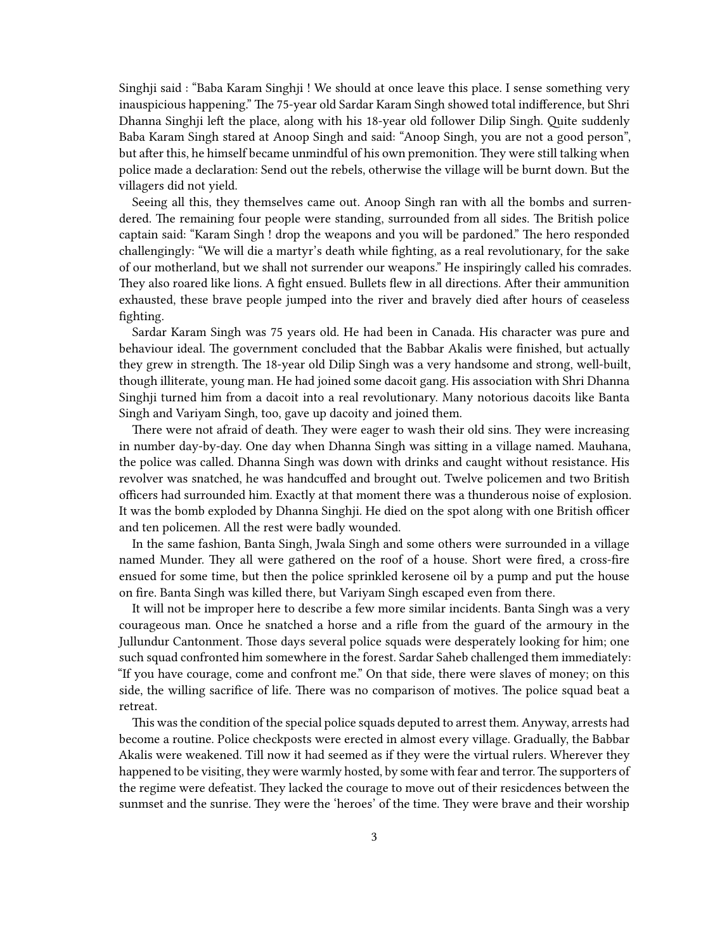Singhji said : "Baba Karam Singhji ! We should at once leave this place. I sense something very inauspicious happening." The 75-year old Sardar Karam Singh showed total indifference, but Shri Dhanna Singhji left the place, along with his 18-year old follower Dilip Singh. Quite suddenly Baba Karam Singh stared at Anoop Singh and said: "Anoop Singh, you are not a good person", but after this, he himself became unmindful of his own premonition. They were still talking when police made a declaration: Send out the rebels, otherwise the village will be burnt down. But the villagers did not yield.

Seeing all this, they themselves came out. Anoop Singh ran with all the bombs and surrendered. The remaining four people were standing, surrounded from all sides. The British police captain said: "Karam Singh ! drop the weapons and you will be pardoned." The hero responded challengingly: "We will die a martyr's death while fighting, as a real revolutionary, for the sake of our motherland, but we shall not surrender our weapons." He inspiringly called his comrades. They also roared like lions. A fight ensued. Bullets flew in all directions. After their ammunition exhausted, these brave people jumped into the river and bravely died after hours of ceaseless fighting.

Sardar Karam Singh was 75 years old. He had been in Canada. His character was pure and behaviour ideal. The government concluded that the Babbar Akalis were finished, but actually they grew in strength. The 18-year old Dilip Singh was a very handsome and strong, well-built, though illiterate, young man. He had joined some dacoit gang. His association with Shri Dhanna Singhji turned him from a dacoit into a real revolutionary. Many notorious dacoits like Banta Singh and Variyam Singh, too, gave up dacoity and joined them.

There were not afraid of death. They were eager to wash their old sins. They were increasing in number day-by-day. One day when Dhanna Singh was sitting in a village named. Mauhana, the police was called. Dhanna Singh was down with drinks and caught without resistance. His revolver was snatched, he was handcuffed and brought out. Twelve policemen and two British officers had surrounded him. Exactly at that moment there was a thunderous noise of explosion. It was the bomb exploded by Dhanna Singhji. He died on the spot along with one British officer and ten policemen. All the rest were badly wounded.

In the same fashion, Banta Singh, Jwala Singh and some others were surrounded in a village named Munder. They all were gathered on the roof of a house. Short were fired, a cross-fire ensued for some time, but then the police sprinkled kerosene oil by a pump and put the house on fire. Banta Singh was killed there, but Variyam Singh escaped even from there.

It will not be improper here to describe a few more similar incidents. Banta Singh was a very courageous man. Once he snatched a horse and a rifle from the guard of the armoury in the Jullundur Cantonment. Those days several police squads were desperately looking for him; one such squad confronted him somewhere in the forest. Sardar Saheb challenged them immediately: "If you have courage, come and confront me." On that side, there were slaves of money; on this side, the willing sacrifice of life. There was no comparison of motives. The police squad beat a retreat.

This was the condition of the special police squads deputed to arrest them. Anyway, arrests had become a routine. Police checkposts were erected in almost every village. Gradually, the Babbar Akalis were weakened. Till now it had seemed as if they were the virtual rulers. Wherever they happened to be visiting, they were warmly hosted, by some with fear and terror. The supporters of the regime were defeatist. They lacked the courage to move out of their resicdences between the sunmset and the sunrise. They were the 'heroes' of the time. They were brave and their worship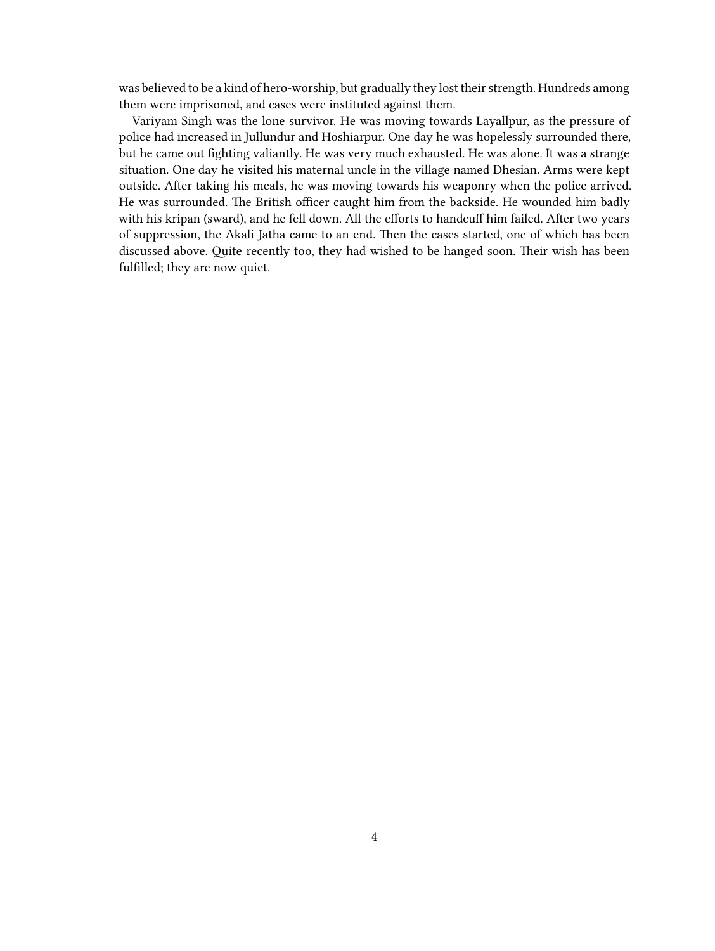was believed to be a kind of hero-worship, but gradually they lost their strength. Hundreds among them were imprisoned, and cases were instituted against them.

Variyam Singh was the lone survivor. He was moving towards Layallpur, as the pressure of police had increased in Jullundur and Hoshiarpur. One day he was hopelessly surrounded there, but he came out fighting valiantly. He was very much exhausted. He was alone. It was a strange situation. One day he visited his maternal uncle in the village named Dhesian. Arms were kept outside. After taking his meals, he was moving towards his weaponry when the police arrived. He was surrounded. The British officer caught him from the backside. He wounded him badly with his kripan (sward), and he fell down. All the efforts to handcuff him failed. After two years of suppression, the Akali Jatha came to an end. Then the cases started, one of which has been discussed above. Quite recently too, they had wished to be hanged soon. Their wish has been fulfilled; they are now quiet.